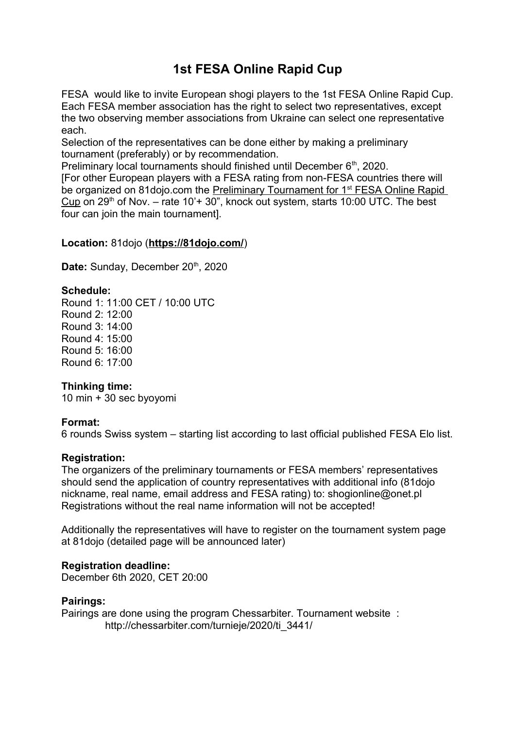# **1st FESA Online Rapid Cup**

FESA would like to invite European shogi players to the 1st FESA Online Rapid Cup. Each FESA member association has the right to select two representatives, except the two observing member associations from Ukraine can select one representative each.

Selection of the representatives can be done either by making a preliminary tournament (preferably) or by recommendation.

Preliminary local tournaments should finished until December  $6<sup>th</sup>$ , 2020.

[For other European players with a FESA rating from non-FESA countries there will be organized on 81dojo.com the Preliminary Tournament for 1<sup>st</sup> FESA Online Rapid Cup on  $29<sup>th</sup>$  of Nov. – rate 10'+ 30", knock out system, starts 10:00 UTC. The best four can join the main tournament].

# **Location:** 81dojo (**<https://81dojo.com/>**)

Date: Sunday, December 20<sup>th</sup>, 2020

# **Schedule:**

Round 1: 11:00 CET / 10:00 UTC Round 2: 12:00 Round 3: 14:00 Round 4: 15:00 Round 5: 16:00 Round 6: 17:00

# **Thinking time:**

10 min + 30 sec byoyomi

#### **Format:**

6 rounds Swiss system – starting list according to last official published FESA Elo list.

#### **Registration:**

The organizers of the preliminary tournaments or FESA members' representatives should send the application of country representatives with additional info (81dojo nickname, real name, email address and FESA rating) to: shogionline@onet.pl Registrations without the real name information will not be accepted!

Additionally the representatives will have to register on the tournament system page at 81dojo (detailed page will be announced later)

#### **Registration deadline:**

December 6th 2020, CET 20:00

#### **Pairings:**

Pairings are done using the program Chessarbiter. Tournament website : http://chessarbiter.com/turnieje/2020/ti\_3441/